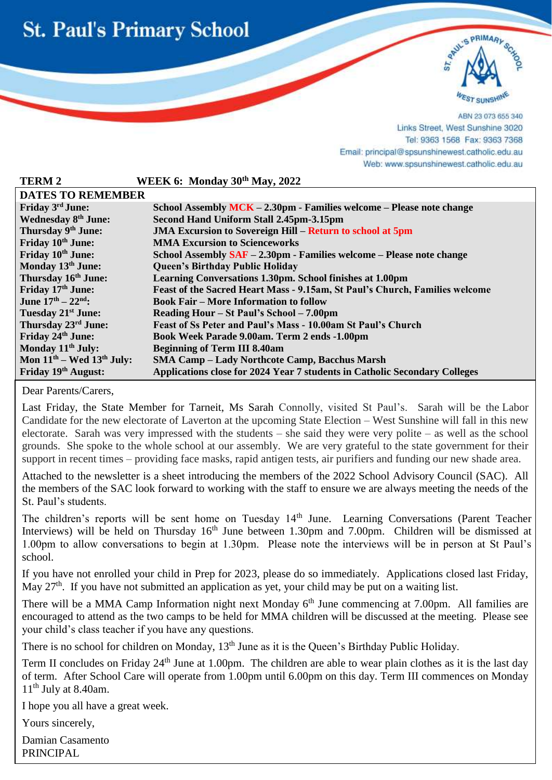



ABN 23 073 655 340 Links Street, West Sunshine 3020 Tel: 9363 1568 Fax: 9363 7368 Email: principal@spsunshinewest.catholic.edu.au Web: www.spsunshinewest.catholic.edu.au

| <b>TERM2</b>                             | WEEK 6: Monday 30th May, 2022                                               |  |
|------------------------------------------|-----------------------------------------------------------------------------|--|
| <b>DATES TO REMEMBER</b>                 |                                                                             |  |
| Friday 3rd June:                         | School Assembly MCK – 2.30pm - Families welcome – Please note change        |  |
| <b>Wednesday 8th June:</b>               | Second Hand Uniform Stall 2.45pm-3.15pm                                     |  |
| Thursday 9 <sup>th</sup> June:           | <b>JMA Excursion to Sovereign Hill – Return to school at 5pm</b>            |  |
| Friday 10 <sup>th</sup> June:            | <b>MMA Excursion to Scienceworks</b>                                        |  |
| Friday 10th June:                        | School Assembly SAF - 2.30pm - Families welcome - Please note change        |  |
| Monday 13th June:                        | <b>Queen's Birthday Public Holiday</b>                                      |  |
| Thursday 16 <sup>th</sup> June:          | Learning Conversations 1.30pm. School finishes at 1.00pm                    |  |
| Friday 17th June:                        | Feast of the Sacred Heart Mass - 9.15am, St Paul's Church, Families welcome |  |
| June $17^{\text{th}} - 22^{\text{nd}}$ : | <b>Book Fair – More Information to follow</b>                               |  |
| Tuesday 21 <sup>st</sup> June:           | Reading Hour – St Paul's School – 7.00pm                                    |  |
| Thursday 23 <sup>rd</sup> June:          | Feast of Ss Peter and Paul's Mass - 10.00am St Paul's Church                |  |
| Friday 24th June:                        | Book Week Parade 9.00am. Term 2 ends -1.00pm                                |  |
| Monday 11 <sup>th</sup> July:            | <b>Beginning of Term III 8.40am</b>                                         |  |
| Mon $11th$ – Wed $13th$ July:            | <b>SMA Camp - Lady Northcote Camp, Bacchus Marsh</b>                        |  |
| Friday 19th August:                      | Applications close for 2024 Year 7 students in Catholic Secondary Colleges  |  |

Dear Parents/Carers,

l

Last Friday, the State Member for Tarneit, Ms Sarah Connolly, visited St Paul's. Sarah will be the Labor Candidate for the new electorate of Laverton at the upcoming State Election – West Sunshine will fall in this new electorate. Sarah was very impressed with the students – she said they were very polite – as well as the school grounds. She spoke to the whole school at our assembly. We are very grateful to the state government for their support in recent times – providing face masks, rapid antigen tests, air purifiers and funding our new shade area.

Attached to the newsletter is a sheet introducing the members of the 2022 School Advisory Council (SAC). All the members of the SAC look forward to working with the staff to ensure we are always meeting the needs of the St. Paul's students.

The children's reports will be sent home on Tuesday 14<sup>th</sup> June. Learning Conversations (Parent Teacher Interviews) will be held on Thursday 16<sup>th</sup> June between 1.30pm and 7.00pm. Children will be dismissed at 1.00pm to allow conversations to begin at 1.30pm. Please note the interviews will be in person at St Paul's school.

If you have not enrolled your child in Prep for 2023, please do so immediately. Applications closed last Friday, May 27<sup>th</sup>. If you have not submitted an application as yet, your child may be put on a waiting list.

There will be a MMA Camp Information night next Monday  $6<sup>th</sup>$  June commencing at 7.00pm. All families are encouraged to attend as the two camps to be held for MMA children will be discussed at the meeting. Please see your child's class teacher if you have any questions.

There is no school for children on Monday, 13<sup>th</sup> June as it is the Queen's Birthday Public Holiday.

Term II concludes on Friday 24<sup>th</sup> June at 1.00pm. The children are able to wear plain clothes as it is the last day of term. After School Care will operate from 1.00pm until 6.00pm on this day. Term III commences on Monday 11<sup>th</sup> July at 8.40am.

I hope you all have a great week.

Yours sincerely,

Damian Casamento PRINCIPAL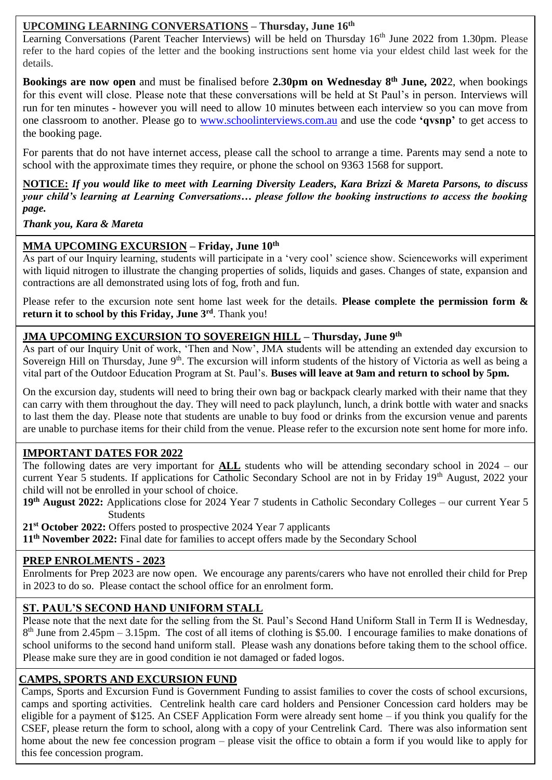## **UPCOMING LEARNING CONVERSATIONS – Thursday, June 16th**

Learning Conversations (Parent Teacher Interviews) will be held on Thursday 16<sup>th</sup> June 2022 from 1.30pm. Please refer to the hard copies of the letter and the booking instructions sent home via your eldest child last week for the details.

**Bookings are now open** and must be finalised before **2.30pm on Wednesday 8 th June, 202**2, when bookings for this event will close. Please note that these conversations will be held at St Paul's in person. Interviews will run for ten minutes - however you will need to allow 10 minutes between each interview so you can move from one classroom to another. Please go to [www.schoolinterviews.com.au](http://www.schoolinterviews.com.au/) and use the code **'qvsnp'** to get access to the booking page.

For parents that do not have internet access, please call the school to arrange a time. Parents may send a note to school with the approximate times they require, or phone the school on 9363 1568 for support.

**NOTICE:** *If you would like to meet with Learning Diversity Leaders, Kara Brizzi & Mareta Parsons, to discuss your child's learning at Learning Conversations… please follow the booking instructions to access the booking page.*

*Thank you, Kara & Mareta*

#### **MMA UPCOMING EXCURSION – Friday, June 10th**

As part of our Inquiry learning, students will participate in a 'very cool' science show. Scienceworks will experiment with liquid nitrogen to illustrate the changing properties of solids, liquids and gases. Changes of state, expansion and contractions are all demonstrated using lots of fog, froth and fun.

Please refer to the excursion note sent home last week for the details. **Please complete the permission form & return it to school by this Friday, June 3rd** . Thank you!

#### j **JMA UPCOMING EXCURSION TO SOVEREIGN HILL – Thursday, June 9th**

As part of our Inquiry Unit of work, 'Then and Now', JMA students will be attending an extended day excursion to Sovereign Hill on Thursday, June  $9<sup>th</sup>$ . The excursion will inform students of the history of Victoria as well as being a vital part of the Outdoor Education Program at St. Paul's. **Buses will leave at 9am and return to school by 5pm.**

 can carry with them throughout the day. They will need to pack playlunch, lunch, a drink bottle with water and snacks On the excursion day, students will need to bring their own bag or backpack clearly marked with their name that they to last them the day. Please note that students are unable to buy food or drinks from the excursion venue and parents are unable to purchase items for their child from the venue. Please refer to the excursion note sent home for more info.

### **IMPORTANT DATES FOR 2022**

The following dates are very important for **ALL** students who will be attending secondary school in 2024 – our current Year 5 students. If applications for Catholic Secondary School are not in by Friday 19<sup>th</sup> August, 2022 your child will not be enrolled in your school of choice.

**19th August 2022:** Applications close for 2024 Year 7 students in Catholic Secondary Colleges – our current Year 5 Students

**21st October 2022:** Offers posted to prospective 2024 Year 7 applicants **11th November 2022:** Final date for families to accept offers made by the Secondary School

#### **PREP ENROLMENTS - 2023**

Enrolments for Prep 2023 are now open. We encourage any parents/carers who have not enrolled their child for Prep in 2023 to do so. Please contact the school office for an enrolment form.

### **ST. PAUL'S SECOND HAND UNIFORM STALL**

Please note that the next date for the selling from the St. Paul's Second Hand Uniform Stall in Term II is Wednesday, 8<sup>th</sup> June from 2.45pm – 3.15pm. The cost of all items of clothing is \$5.00. I encourage families to make donations of school uniforms to the second hand uniform stall. Please wash any donations before taking them to the school office. Please make sure they are in good condition ie not damaged or faded logos.

#### **CAMPS, SPORTS AND EXCURSION FUND**

Camps, Sports and Excursion Fund is Government Funding to assist families to cover the costs of school excursions, camps and sporting activities. Centrelink health care card holders and Pensioner Concession card holders may be eligible for a payment of \$125. An CSEF Application Form were already sent home – if you think you qualify for the CSEF, please return the form to school, along with a copy of your Centrelink Card. There was also information sent home about the new fee concession program – please visit the office to obtain a form if you would like to apply for this fee concession program.